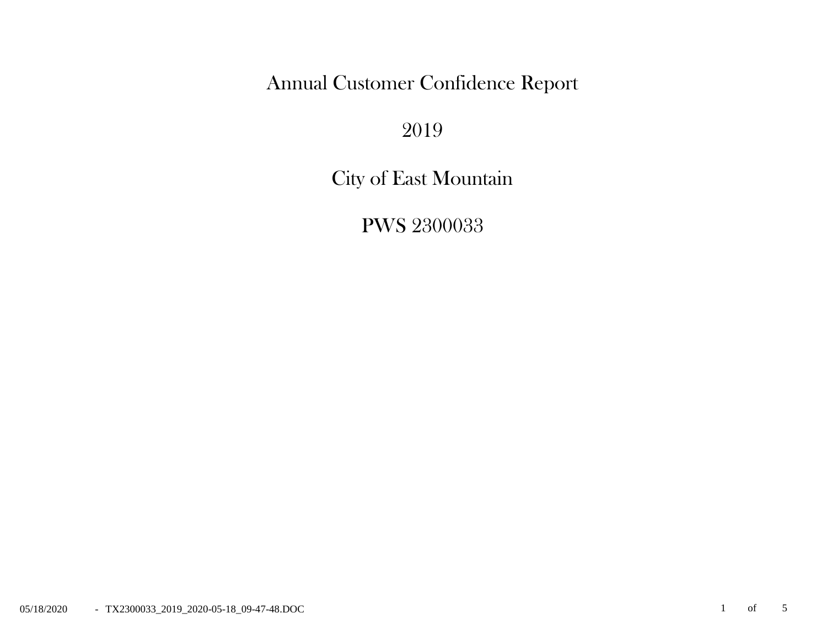Annual Customer Confidence Report

2019

City of East Mountain

PWS 2300033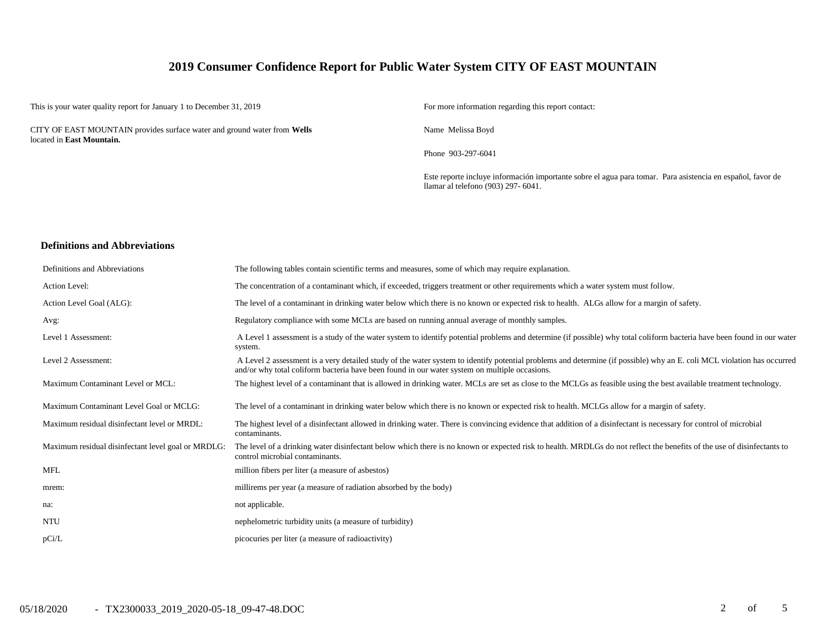# **2019 Consumer Confidence Report for Public Water System CITY OF EAST MOUNTAIN**

This is your water quality report for January 1 to December 31, 2019 For more information regarding this report contact:

CITY OF EAST MOUNTAIN provides surface water and ground water from **Wells** located in **East Mountain.**

Name Melissa Boyd

Phone 903-297-6041

Este reporte incluye información importante sobre el agua para tomar. Para asistencia en español, favor de llamar al telefono (903) 297- 6041.

#### **Definitions and Abbreviations**

| Definitions and Abbreviations                      | The following tables contain scientific terms and measures, some of which may require explanation.                                                                                                                                                                      |
|----------------------------------------------------|-------------------------------------------------------------------------------------------------------------------------------------------------------------------------------------------------------------------------------------------------------------------------|
| Action Level:                                      | The concentration of a contaminant which, if exceeded, triggers treatment or other requirements which a water system must follow.                                                                                                                                       |
| Action Level Goal (ALG):                           | The level of a contaminant in drinking water below which there is no known or expected risk to health. ALGs allow for a margin of safety.                                                                                                                               |
| Avg:                                               | Regulatory compliance with some MCLs are based on running annual average of monthly samples.                                                                                                                                                                            |
| Level 1 Assessment:                                | A Level 1 assessment is a study of the water system to identify potential problems and determine (if possible) why total coliform bacteria have been found in our water<br>system.                                                                                      |
| Level 2 Assessment:                                | A Level 2 assessment is a very detailed study of the water system to identify potential problems and determine (if possible) why an E. coli MCL violation has occurred<br>and/or why total coliform bacteria have been found in our water system on multiple occasions. |
| Maximum Contaminant Level or MCL:                  | The highest level of a contaminant that is allowed in drinking water. MCLs are set as close to the MCLGs as feasible using the best available treatment technology.                                                                                                     |
| Maximum Contaminant Level Goal or MCLG:            | The level of a contaminant in drinking water below which there is no known or expected risk to health. MCLGs allow for a margin of safety.                                                                                                                              |
| Maximum residual disinfectant level or MRDL:       | The highest level of a disinfectant allowed in drinking water. There is convincing evidence that addition of a disinfectant is necessary for control of microbial<br>contaminants.                                                                                      |
| Maximum residual disinfectant level goal or MRDLG: | The level of a drinking water disinfectant below which there is no known or expected risk to health. MRDLGs do not reflect the benefits of the use of disinfectants to<br>control microbial contaminants.                                                               |
| <b>MFL</b>                                         | million fibers per liter (a measure of asbestos)                                                                                                                                                                                                                        |
| mrem:                                              | millirems per year (a measure of radiation absorbed by the body)                                                                                                                                                                                                        |
| na:                                                | not applicable.                                                                                                                                                                                                                                                         |
| <b>NTU</b>                                         | nephelometric turbidity units (a measure of turbidity)                                                                                                                                                                                                                  |
| pCi/L                                              | picocuries per liter (a measure of radioactivity)                                                                                                                                                                                                                       |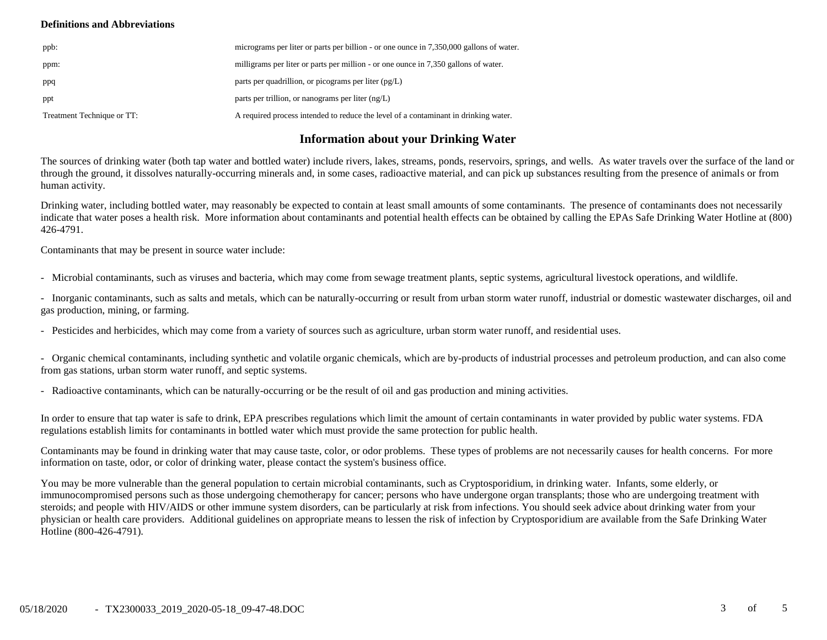### **Definitions and Abbreviations**

| ppb:                       | micrograms per liter or parts per billion - or one ounce in 7,350,000 gallons of water. |
|----------------------------|-----------------------------------------------------------------------------------------|
| ppm:                       | milligrams per liter or parts per million - or one ounce in 7,350 gallons of water.     |
| ppq                        | parts per quadrillion, or picograms per liter $(pg/L)$                                  |
| ppt                        | parts per trillion, or nanograms per liter $(ng/L)$                                     |
| Treatment Technique or TT: | A required process intended to reduce the level of a contaminant in drinking water.     |

# **Information about your Drinking Water**

The sources of drinking water (both tap water and bottled water) include rivers, lakes, streams, ponds, reservoirs, springs, and wells. As water travels over the surface of the land or through the ground, it dissolves naturally-occurring minerals and, in some cases, radioactive material, and can pick up substances resulting from the presence of animals or from human activity.

Drinking water, including bottled water, may reasonably be expected to contain at least small amounts of some contaminants. The presence of contaminants does not necessarily indicate that water poses a health risk. More information about contaminants and potential health effects can be obtained by calling the EPAs Safe Drinking Water Hotline at (800) 426-4791.

Contaminants that may be present in source water include:

- Microbial contaminants, such as viruses and bacteria, which may come from sewage treatment plants, septic systems, agricultural livestock operations, and wildlife.

- Inorganic contaminants, such as salts and metals, which can be naturally-occurring or result from urban storm water runoff, industrial or domestic wastewater discharges, oil and gas production, mining, or farming.

- Pesticides and herbicides, which may come from a variety of sources such as agriculture, urban storm water runoff, and residential uses.

- Organic chemical contaminants, including synthetic and volatile organic chemicals, which are by-products of industrial processes and petroleum production, and can also come from gas stations, urban storm water runoff, and septic systems.

- Radioactive contaminants, which can be naturally-occurring or be the result of oil and gas production and mining activities.

In order to ensure that tap water is safe to drink, EPA prescribes regulations which limit the amount of certain contaminants in water provided by public water systems. FDA regulations establish limits for contaminants in bottled water which must provide the same protection for public health.

Contaminants may be found in drinking water that may cause taste, color, or odor problems. These types of problems are not necessarily causes for health concerns. For more information on taste, odor, or color of drinking water, please contact the system's business office.

You may be more vulnerable than the general population to certain microbial contaminants, such as Cryptosporidium, in drinking water. Infants, some elderly, or immunocompromised persons such as those undergoing chemotherapy for cancer; persons who have undergone organ transplants; those who are undergoing treatment with steroids; and people with HIV/AIDS or other immune system disorders, can be particularly at risk from infections. You should seek advice about drinking water from your physician or health care providers. Additional guidelines on appropriate means to lessen the risk of infection by Cryptosporidium are available from the Safe Drinking Water Hotline (800-426-4791).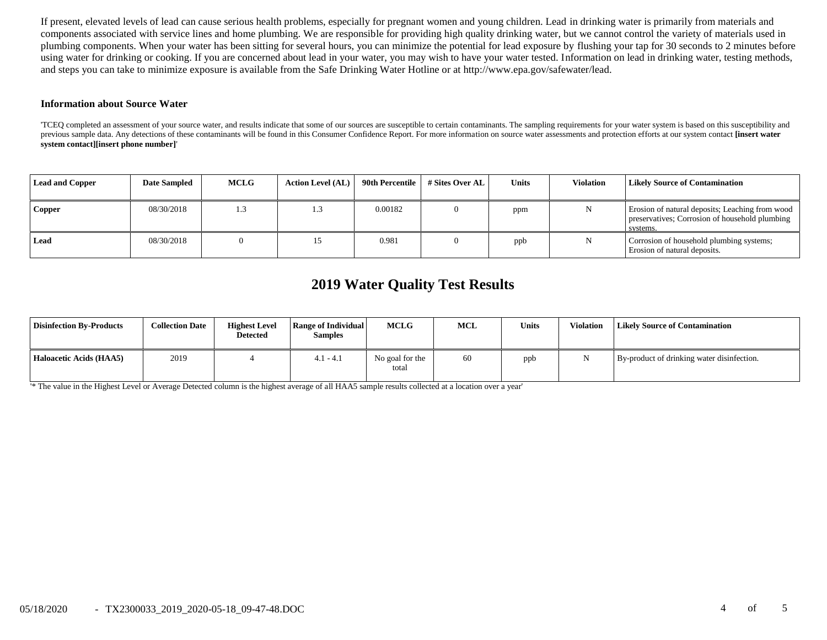If present, elevated levels of lead can cause serious health problems, especially for pregnant women and young children. Lead in drinking water is primarily from materials and components associated with service lines and home plumbing. We are responsible for providing high quality drinking water, but we cannot control the variety of materials used in plumbing components. When your water has been sitting for several hours, you can minimize the potential for lead exposure by flushing your tap for 30 seconds to 2 minutes before using water for drinking or cooking. If you are concerned about lead in your water, you may wish to have your water tested. Information on lead in drinking water, testing methods, and steps you can take to minimize exposure is available from the Safe Drinking Water Hotline or at http://www.epa.gov/safewater/lead.

#### **Information about Source Water**

'TCEQ completed an assessment of your source water, and results indicate that some of our sources are susceptible to certain contaminants. The sampling requirements for your water system is based on this susceptibility and previous sample data. Any detections of these contaminants will be found in this Consumer Confidence Report. For more information on source water assessments and protection efforts at our system contact **[insert water system contact][insert phone number]**'

| <b>Lead and Copper</b> | <b>Date Sampled</b> | <b>MCLG</b> | <b>Action Level (AL)</b> | 90th Percentile | # Sites Over AL | Units | <b>Violation</b> | <b>Likely Source of Contamination</b>                                                                         |
|------------------------|---------------------|-------------|--------------------------|-----------------|-----------------|-------|------------------|---------------------------------------------------------------------------------------------------------------|
| Copper                 | 08/30/2018          | 1.3         |                          | 0.00182         |                 | ppm   |                  | Erosion of natural deposits; Leaching from wood<br>preservatives; Corrosion of household plumbing<br>systems. |
| Lead                   | 08/30/2018          |             |                          | 0.981           |                 | ppb   |                  | Corrosion of household plumbing systems;<br>Erosion of natural deposits.                                      |

# **2019 Water Quality Test Results**

| <b>Disinfection By-Products</b> | <b>Collection Date</b> | <b>Highest Level</b><br><b>Detected</b> | Range of Individual<br><b>Samples</b> | MCLG                     | MCL | <b>Units</b> | Violation | <b>Likely Source of Contamination</b>      |
|---------------------------------|------------------------|-----------------------------------------|---------------------------------------|--------------------------|-----|--------------|-----------|--------------------------------------------|
| Haloacetic Acids (HAA5)         | 2019                   |                                         | $4.1 - 4.1$                           | No goal for the<br>total | 60  | ppb          |           | By-product of drinking water disinfection. |

'\* The value in the Highest Level or Average Detected column is the highest average of all HAA5 sample results collected at a location over a year'